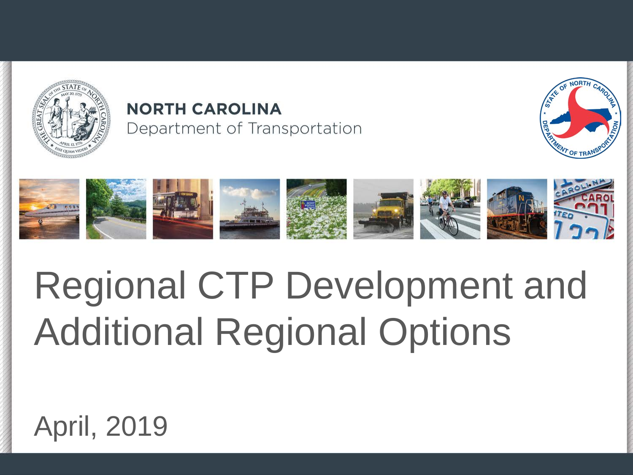

#### **NORTH CAROLINA** Department of Transportation





# Regional CTP Development and Additional Regional Options

### April, 2019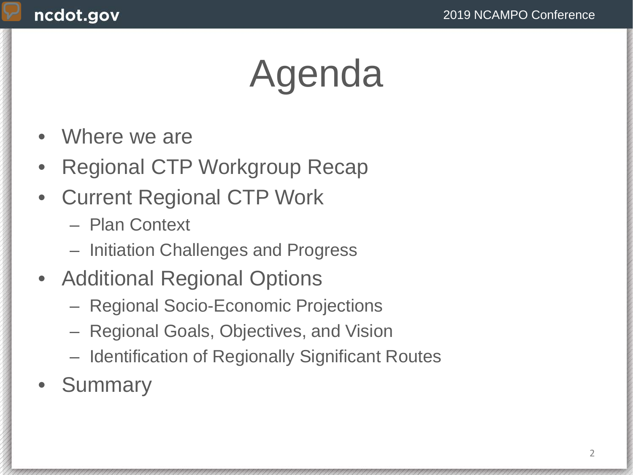# Agenda

- Where we are
- Regional CTP Workgroup Recap
- Current Regional CTP Work
	- Plan Context
	- Initiation Challenges and Progress
- Additional Regional Options
	- Regional Socio-Economic Projections
	- Regional Goals, Objectives, and Vision
	- Identification of Regionally Significant Routes
- **Summary**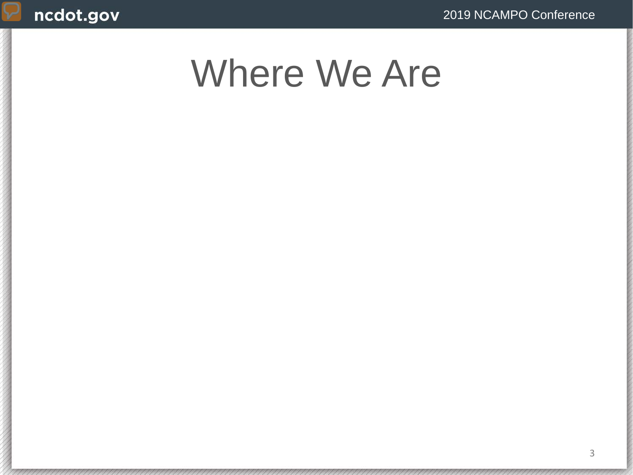### Where We Are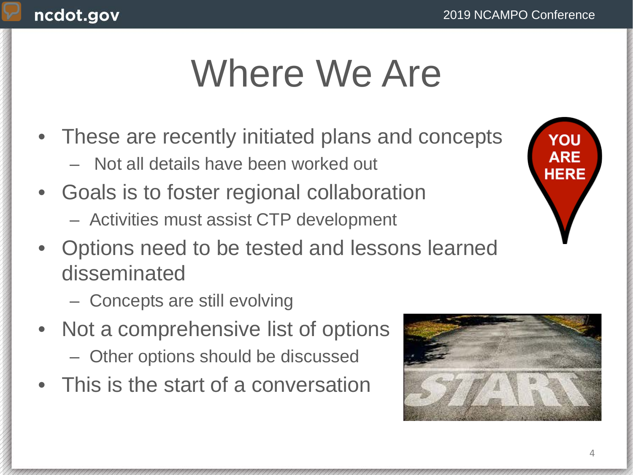### Where We Are

- These are recently initiated plans and concepts
	- Not all details have been worked out
- Goals is to foster regional collaboration
	- Activities must assist CTP development
- Options need to be tested and lessons learned disseminated
	- Concepts are still evolving
- Not a comprehensive list of options
	- Other options should be discussed
- This is the start of a conversation

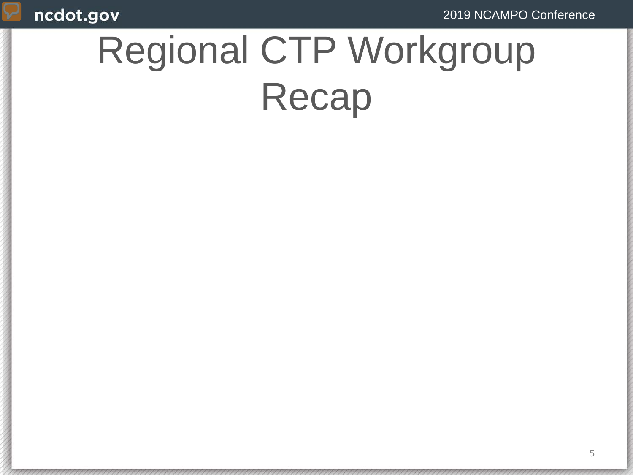## Regional CTP Workgroup Recap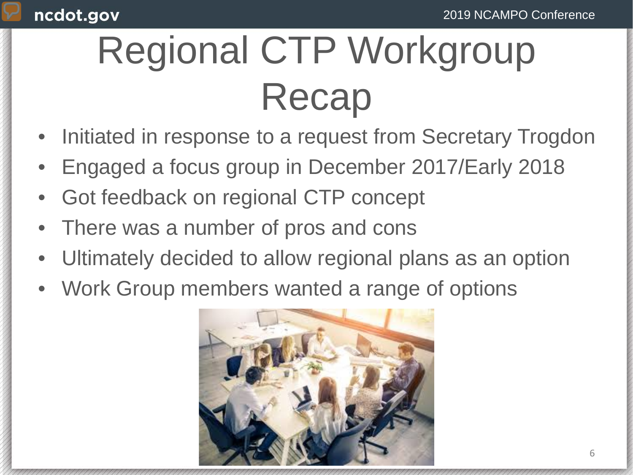# Regional CTP Workgroup Recap

- Initiated in response to a request from Secretary Trogdon
- Engaged a focus group in December 2017/Early 2018
- Got feedback on regional CTP concept
- There was a number of pros and cons
- Ultimately decided to allow regional plans as an option
- Work Group members wanted a range of options

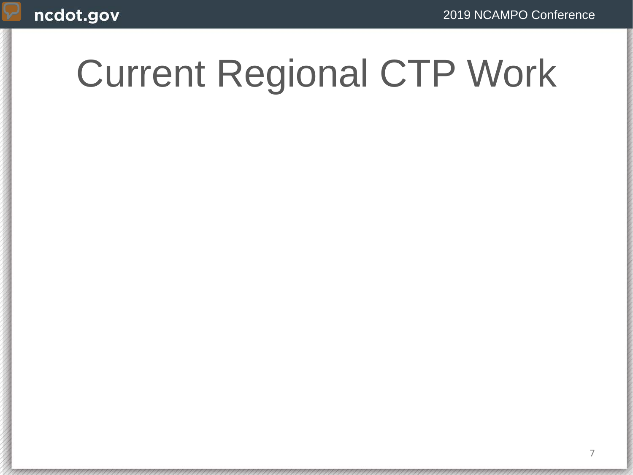## Current Regional CTP Work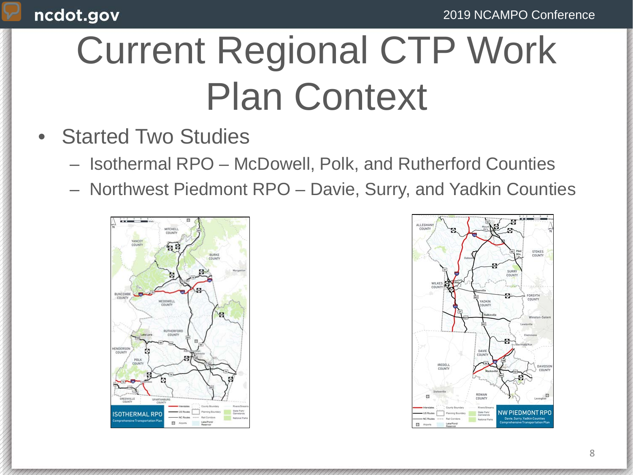# Current Regional CTP Work Plan Context

- **Started Two Studies** 
	- Isothermal RPO McDowell, Polk, and Rutherford Counties
	- Northwest Piedmont RPO Davie, Surry, and Yadkin Counties



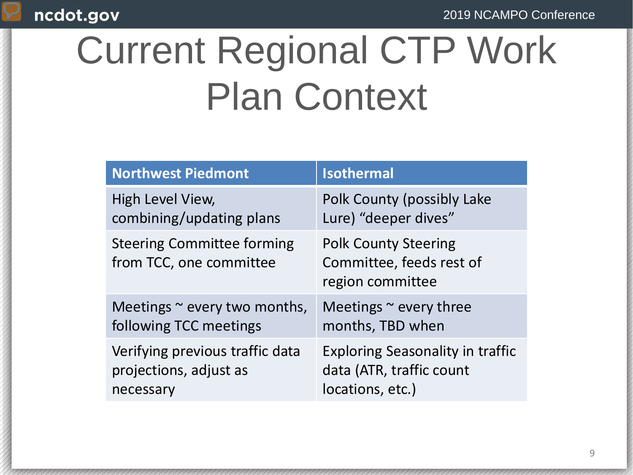#### 2019 NCAMPO Conference

#### ncdot.gov

# Current Regional CTP Work Plan Context

| <b>Northwest Piedmont</b>                                    | <b>Isothermal</b>                                                           |
|--------------------------------------------------------------|-----------------------------------------------------------------------------|
| High Level View,                                             | Polk County (possibly Lake                                                  |
| combining/updating plans                                     | Lure) "deeper dives"                                                        |
| <b>Steering Committee forming</b><br>from TCC, one committee | <b>Polk County Steering</b><br>Committee, feeds rest of<br>region committee |
| Meetings $\sim$ every two months,                            | Meetings $\sim$ every three                                                 |
| following TCC meetings                                       | months, TBD when                                                            |
| Verifying previous traffic data                              | <b>Exploring Seasonality in traffic</b>                                     |
| projections, adjust as                                       | data (ATR, traffic count                                                    |
| necessary                                                    | locations, etc.)                                                            |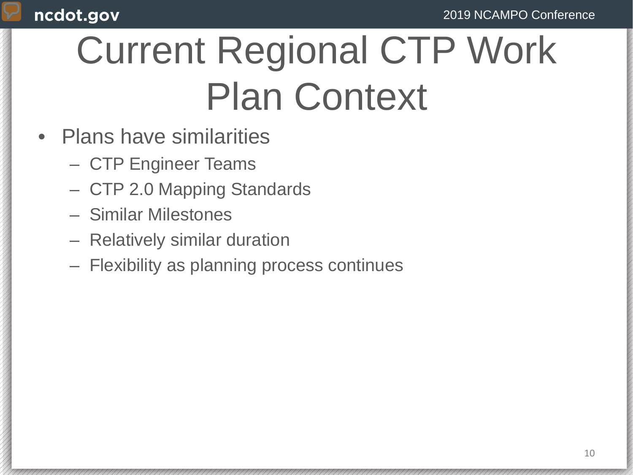# Current Regional CTP Work Plan Context

- Plans have similarities
	- CTP Engineer Teams
	- CTP 2.0 Mapping Standards
	- Similar Milestones
	- Relatively similar duration
	- Flexibility as planning process continues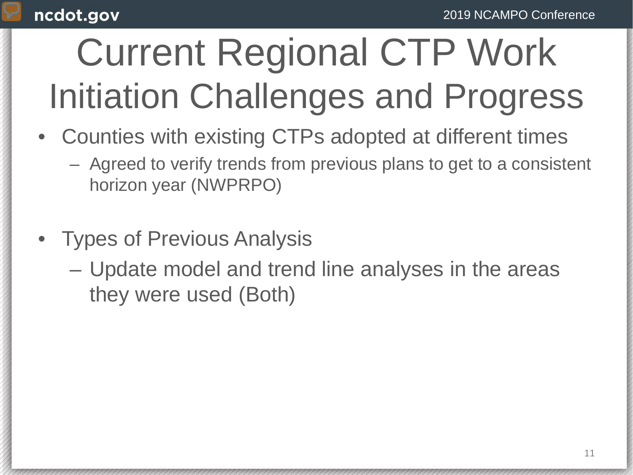# Current Regional CTP Work Initiation Challenges and Progress

- Counties with existing CTPs adopted at different times
	- Agreed to verify trends from previous plans to get to a consistent horizon year (NWPRPO)
- Types of Previous Analysis
	- Update model and trend line analyses in the areas they were used (Both)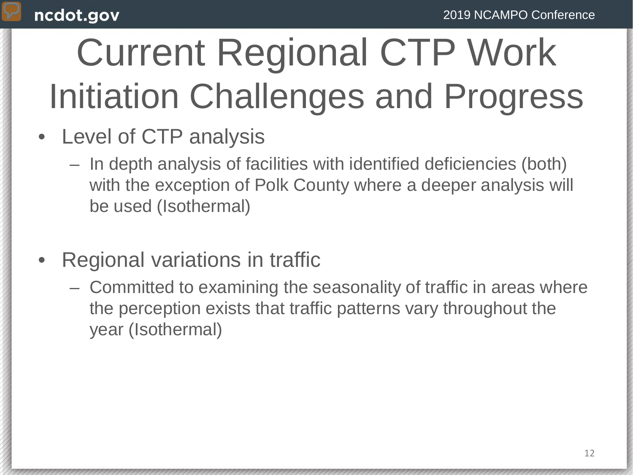# Current Regional CTP Work Initiation Challenges and Progress

- Level of CTP analysis
	- In depth analysis of facilities with identified deficiencies (both) with the exception of Polk County where a deeper analysis will be used (Isothermal)
- Regional variations in traffic
	- Committed to examining the seasonality of traffic in areas where the perception exists that traffic patterns vary throughout the year (Isothermal)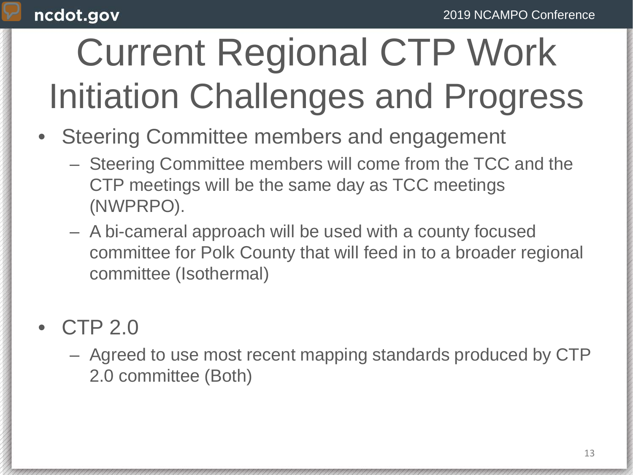## Current Regional CTP Work Initiation Challenges and Progress

- Steering Committee members and engagement
	- Steering Committee members will come from the TCC and the CTP meetings will be the same day as TCC meetings (NWPRPO).
	- A bi-cameral approach will be used with a county focused committee for Polk County that will feed in to a broader regional committee (Isothermal)

### • CTP 2.0

– Agreed to use most recent mapping standards produced by CTP 2.0 committee (Both)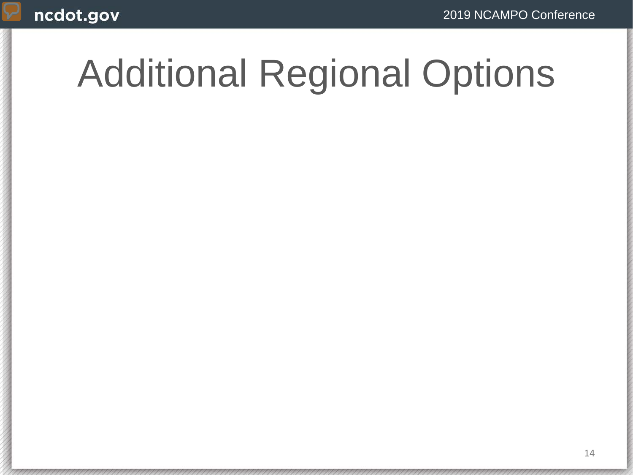### Additional Regional Options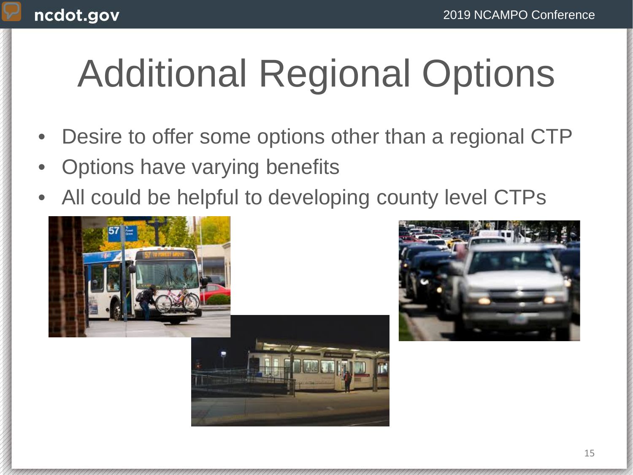# Additional Regional Options

- Desire to offer some options other than a regional CTP
- Options have varying benefits
- All could be helpful to developing county level CTPs





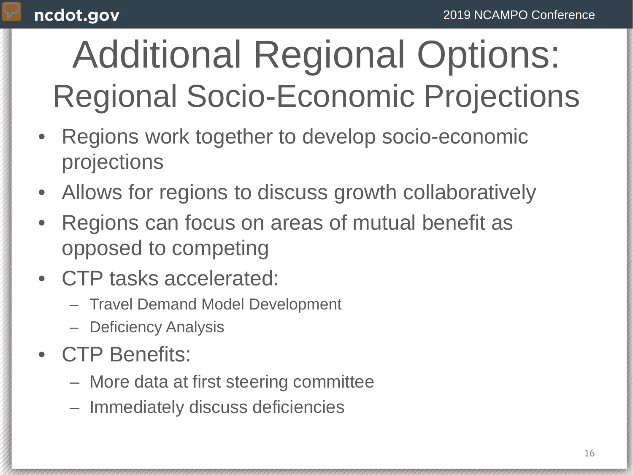## Additional Regional Options: Regional Socio-Economic Projections

- Regions work together to develop socio-economic projections
- Allows for regions to discuss growth collaboratively
- Regions can focus on areas of mutual benefit as opposed to competing
- CTP tasks accelerated:
	- Travel Demand Model Development
	- Deficiency Analysis
- CTP Benefits:
	- More data at first steering committee
	- Immediately discuss deficiencies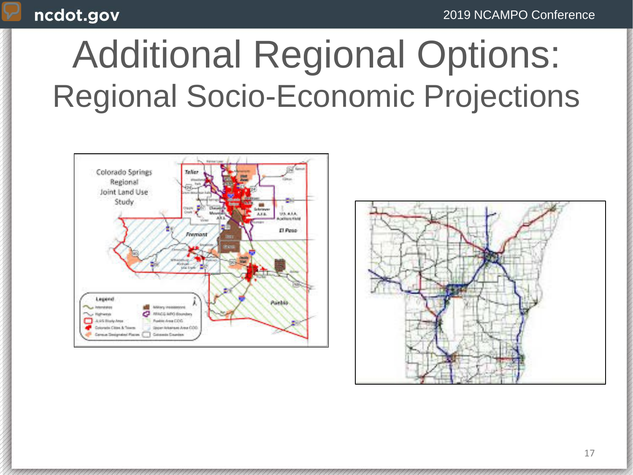#### 2019 NCAMPO Conference

### Additional Regional Options: Regional Socio-Economic Projections



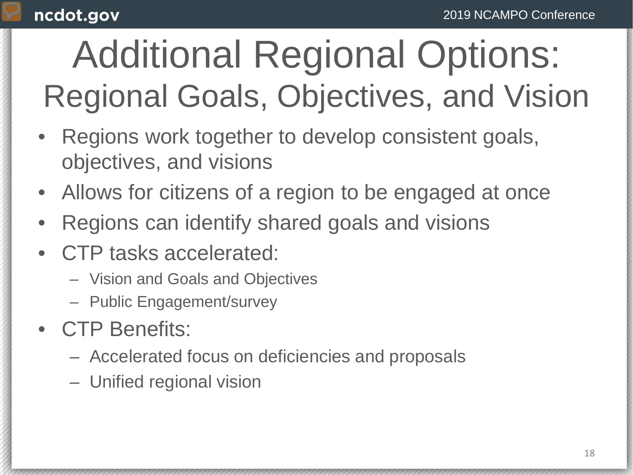## Additional Regional Options: Regional Goals, Objectives, and Vision

- Regions work together to develop consistent goals, objectives, and visions
- Allows for citizens of a region to be engaged at once
- Regions can identify shared goals and visions
- CTP tasks accelerated:
	- Vision and Goals and Objectives
	- Public Engagement/survey
- CTP Benefits:
	- Accelerated focus on deficiencies and proposals
	- Unified regional vision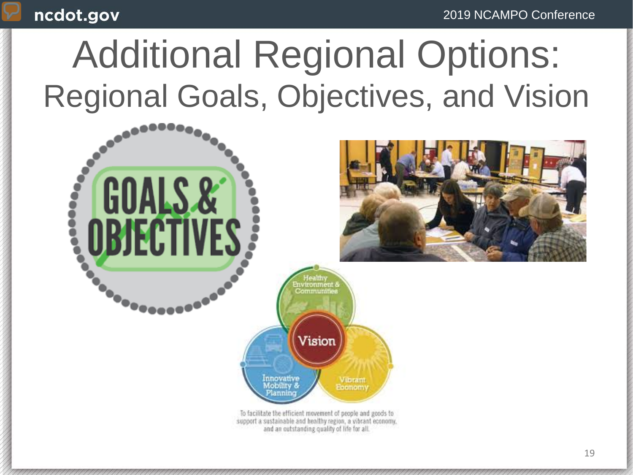### Additional Regional Options: Regional Goals, Objectives, and Vision

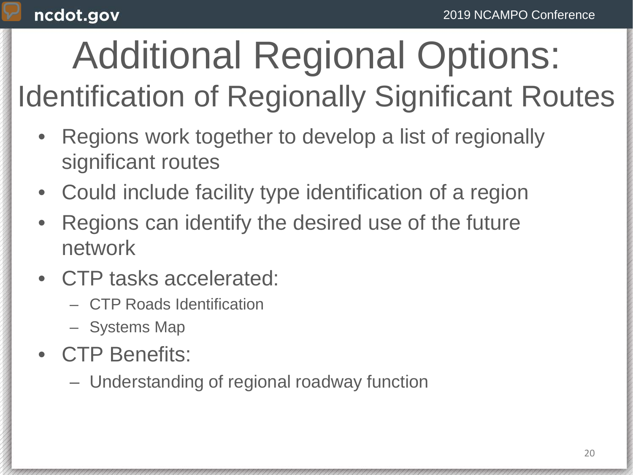### Additional Regional Options: Identification of Regionally Significant Routes

- Regions work together to develop a list of regionally significant routes
- Could include facility type identification of a region
- Regions can identify the desired use of the future network
- CTP tasks accelerated:
	- CTP Roads Identification
	- Systems Map
- CTP Benefits:
	- Understanding of regional roadway function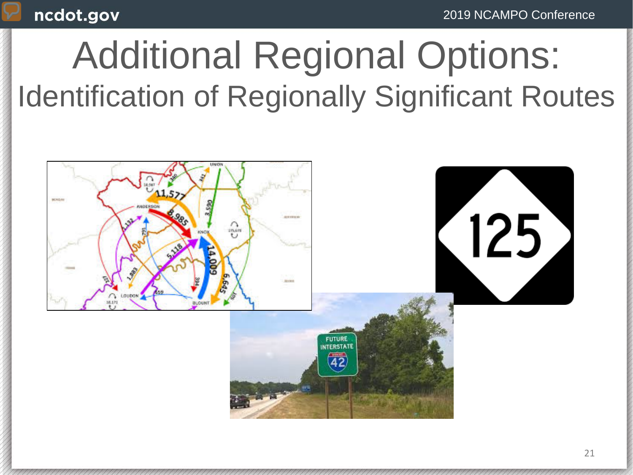### Additional Regional Options: Identification of Regionally Significant Routes

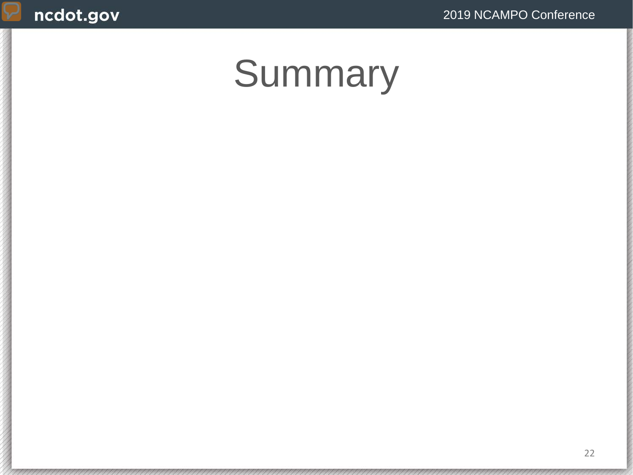### Summary